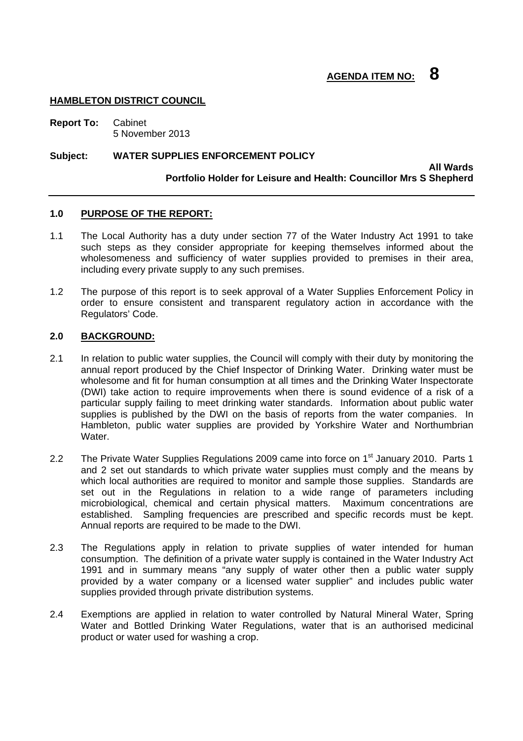#### **HAMBLETON DISTRICT COUNCIL**

**Report To:** Cabinet 5 November 2013

#### **Subject: WATER SUPPLIES ENFORCEMENT POLICY**

**All Wards Portfolio Holder for Leisure and Health: Councillor Mrs S Shepherd** 

#### **1.0 PURPOSE OF THE REPORT:**

- 1.1 The Local Authority has a duty under section 77 of the Water Industry Act 1991 to take such steps as they consider appropriate for keeping themselves informed about the wholesomeness and sufficiency of water supplies provided to premises in their area, including every private supply to any such premises.
- 1.2 The purpose of this report is to seek approval of a Water Supplies Enforcement Policy in order to ensure consistent and transparent regulatory action in accordance with the Regulators' Code.

#### **2.0 BACKGROUND:**

- 2.1 In relation to public water supplies, the Council will comply with their duty by monitoring the annual report produced by the Chief Inspector of Drinking Water. Drinking water must be wholesome and fit for human consumption at all times and the Drinking Water Inspectorate (DWI) take action to require improvements when there is sound evidence of a risk of a particular supply failing to meet drinking water standards. Information about public water supplies is published by the DWI on the basis of reports from the water companies. In Hambleton, public water supplies are provided by Yorkshire Water and Northumbrian Water.
- 2.2 The Private Water Supplies Regulations 2009 came into force on 1<sup>st</sup> January 2010. Parts 1 and 2 set out standards to which private water supplies must comply and the means by which local authorities are required to monitor and sample those supplies. Standards are set out in the Regulations in relation to a wide range of parameters including microbiological, chemical and certain physical matters. Maximum concentrations are established. Sampling frequencies are prescribed and specific records must be kept. Annual reports are required to be made to the DWI.
- 2.3 The Regulations apply in relation to private supplies of water intended for human consumption. The definition of a private water supply is contained in the Water Industry Act 1991 and in summary means "any supply of water other then a public water supply provided by a water company or a licensed water supplier" and includes public water supplies provided through private distribution systems.
- 2.4 Exemptions are applied in relation to water controlled by Natural Mineral Water, Spring Water and Bottled Drinking Water Regulations, water that is an authorised medicinal product or water used for washing a crop.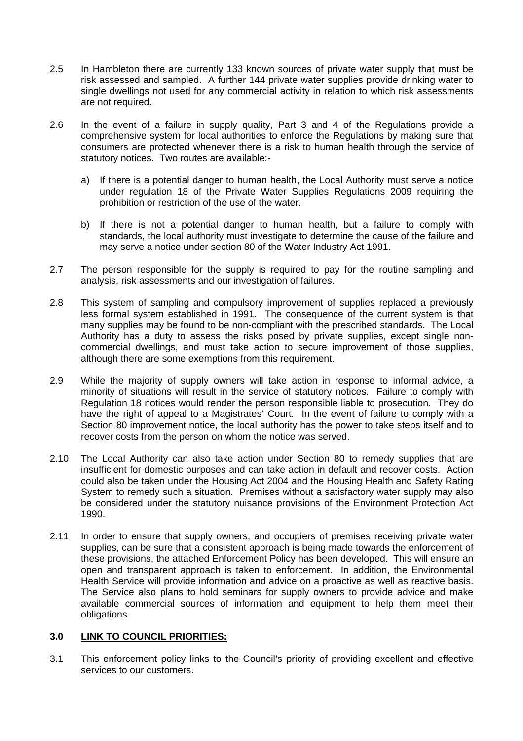- 2.5 In Hambleton there are currently 133 known sources of private water supply that must be risk assessed and sampled. A further 144 private water supplies provide drinking water to single dwellings not used for any commercial activity in relation to which risk assessments are not required.
- 2.6 In the event of a failure in supply quality, Part 3 and 4 of the Regulations provide a comprehensive system for local authorities to enforce the Regulations by making sure that consumers are protected whenever there is a risk to human health through the service of statutory notices. Two routes are available:
	- a) If there is a potential danger to human health, the Local Authority must serve a notice under regulation 18 of the Private Water Supplies Regulations 2009 requiring the prohibition or restriction of the use of the water.
	- b) If there is not a potential danger to human health, but a failure to comply with standards, the local authority must investigate to determine the cause of the failure and may serve a notice under section 80 of the Water Industry Act 1991.
- 2.7 The person responsible for the supply is required to pay for the routine sampling and analysis, risk assessments and our investigation of failures.
- 2.8 This system of sampling and compulsory improvement of supplies replaced a previously less formal system established in 1991. The consequence of the current system is that many supplies may be found to be non-compliant with the prescribed standards. The Local Authority has a duty to assess the risks posed by private supplies, except single noncommercial dwellings, and must take action to secure improvement of those supplies, although there are some exemptions from this requirement.
- 2.9 While the majority of supply owners will take action in response to informal advice, a minority of situations will result in the service of statutory notices. Failure to comply with Regulation 18 notices would render the person responsible liable to prosecution. They do have the right of appeal to a Magistrates' Court. In the event of failure to comply with a Section 80 improvement notice, the local authority has the power to take steps itself and to recover costs from the person on whom the notice was served.
- 2.10 The Local Authority can also take action under Section 80 to remedy supplies that are insufficient for domestic purposes and can take action in default and recover costs. Action could also be taken under the Housing Act 2004 and the Housing Health and Safety Rating System to remedy such a situation. Premises without a satisfactory water supply may also be considered under the statutory nuisance provisions of the Environment Protection Act 1990.
- 2.11 In order to ensure that supply owners, and occupiers of premises receiving private water supplies, can be sure that a consistent approach is being made towards the enforcement of these provisions, the attached Enforcement Policy has been developed. This will ensure an open and transparent approach is taken to enforcement. In addition, the Environmental Health Service will provide information and advice on a proactive as well as reactive basis. The Service also plans to hold seminars for supply owners to provide advice and make available commercial sources of information and equipment to help them meet their obligations

#### **3.0 LINK TO COUNCIL PRIORITIES:**

3.1 This enforcement policy links to the Council's priority of providing excellent and effective services to our customers.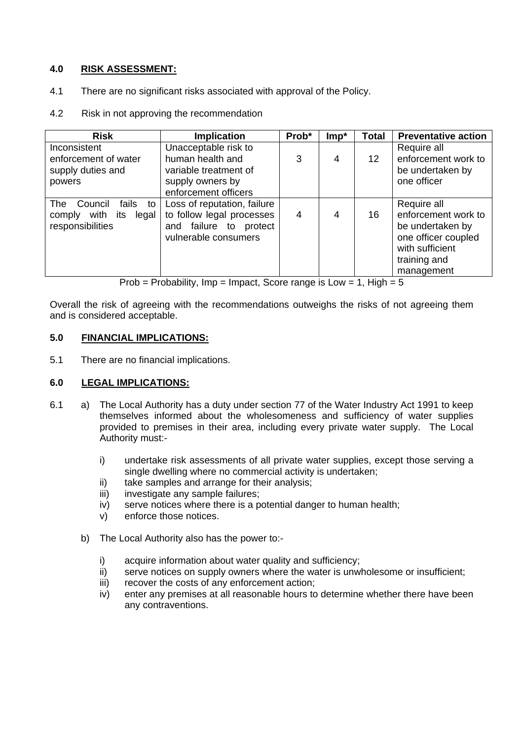#### **4.0 RISK ASSESSMENT:**

- 4.1 There are no significant risks associated with approval of the Policy.
- 4.2 Risk in not approving the recommendation

| <b>Risk</b>                   | <b>Implication</b>          | Prob* | $Imp*$ | <b>Total</b>    | <b>Preventative action</b> |
|-------------------------------|-----------------------------|-------|--------|-----------------|----------------------------|
| Inconsistent                  | Unacceptable risk to        |       |        |                 | Require all                |
| enforcement of water          | human health and            | 3     | 4      | 12 <sup>°</sup> | enforcement work to        |
| supply duties and             | variable treatment of       |       |        |                 | be undertaken by           |
| powers                        | supply owners by            |       |        |                 | one officer                |
|                               | enforcement officers        |       |        |                 |                            |
| The<br>Council<br>fails<br>to | Loss of reputation, failure |       |        |                 | Require all                |
| comply with its<br>legal      | to follow legal processes   | 4     | 4      | 16              | enforcement work to        |
| responsibilities              | failure to protect<br>and   |       |        |                 | be undertaken by           |
|                               | vulnerable consumers        |       |        |                 | one officer coupled        |
|                               |                             |       |        |                 | with sufficient            |
|                               |                             |       |        |                 | training and               |
|                               |                             |       |        |                 | management                 |

Prob = Probability, Imp = Impact, Score range is  $Low = 1$ , High = 5

Overall the risk of agreeing with the recommendations outweighs the risks of not agreeing them and is considered acceptable.

#### **5.0 FINANCIAL IMPLICATIONS:**

5.1 There are no financial implications.

#### **6.0 LEGAL IMPLICATIONS:**

- 6.1 a) The Local Authority has a duty under section 77 of the Water Industry Act 1991 to keep themselves informed about the wholesomeness and sufficiency of water supplies provided to premises in their area, including every private water supply. The Local Authority must:
	- i) undertake risk assessments of all private water supplies, except those serving a single dwelling where no commercial activity is undertaken;
	- ii) take samples and arrange for their analysis;
	- iii) investigate any sample failures;
	- iv) serve notices where there is a potential danger to human health;
	- v) enforce those notices.
	- b) The Local Authority also has the power to:
		- i) acquire information about water quality and sufficiency;
		- ii) serve notices on supply owners where the water is unwholesome or insufficient;
		- iii) recover the costs of any enforcement action:
		- iv) enter any premises at all reasonable hours to determine whether there have been any contraventions.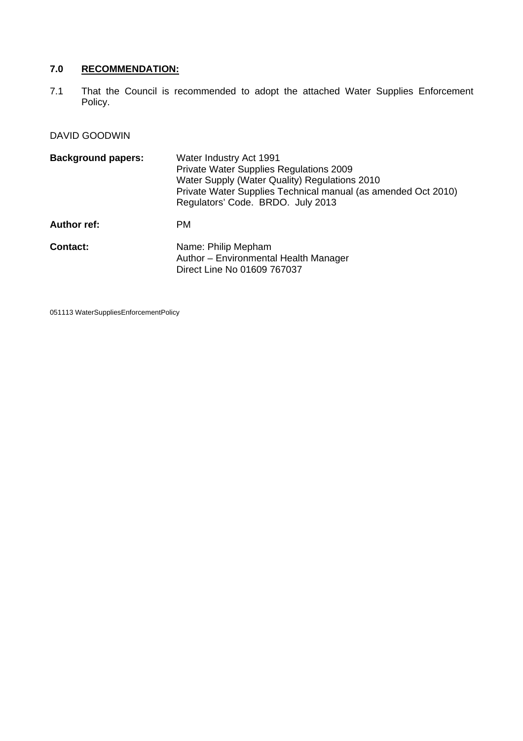## **7.0 RECOMMENDATION:**

7.1 That the Council is recommended to adopt the attached Water Supplies Enforcement Policy.

## DAVID GOODWIN

| <b>Background papers:</b> | Water Industry Act 1991<br>Private Water Supplies Regulations 2009<br>Water Supply (Water Quality) Regulations 2010<br>Private Water Supplies Technical manual (as amended Oct 2010)<br>Regulators' Code. BRDO. July 2013 |  |
|---------------------------|---------------------------------------------------------------------------------------------------------------------------------------------------------------------------------------------------------------------------|--|
| <b>Author ref:</b>        | PM.                                                                                                                                                                                                                       |  |
| Contact:                  | Name: Philip Mepham<br>Author - Environmental Health Manager<br>Direct Line No 01609 767037                                                                                                                               |  |

051113 WaterSuppliesEnforcementPolicy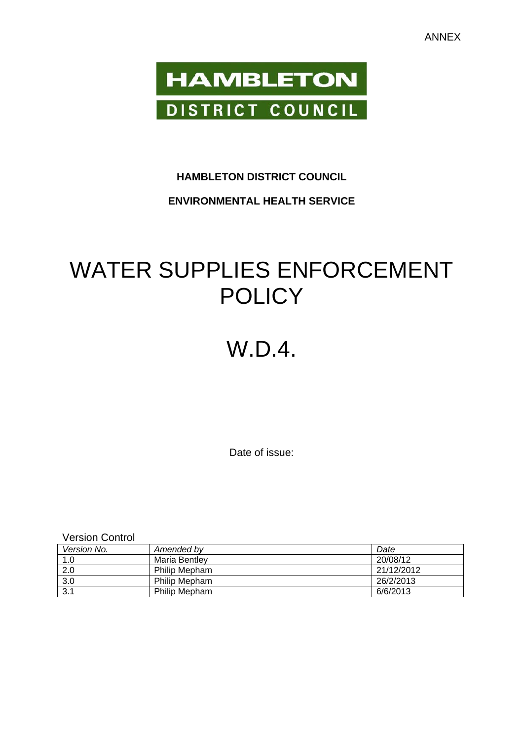

## **HAMBLETON DISTRICT COUNCIL**

## **ENVIRONMENTAL HEALTH SERVICE**

# WATER SUPPLIES ENFORCEMENT **POLICY**

## W.D.4.

Date of issue:

Version Control

| Version No. | Amended by           | Date       |
|-------------|----------------------|------------|
| 1.0         | Maria Bentlev        | 20/08/12   |
| 2.0         | Philip Mepham        | 21/12/2012 |
| 3.0         | <b>Philip Mepham</b> | 26/2/2013  |
| 3.1         | <b>Philip Mepham</b> | 6/6/2013   |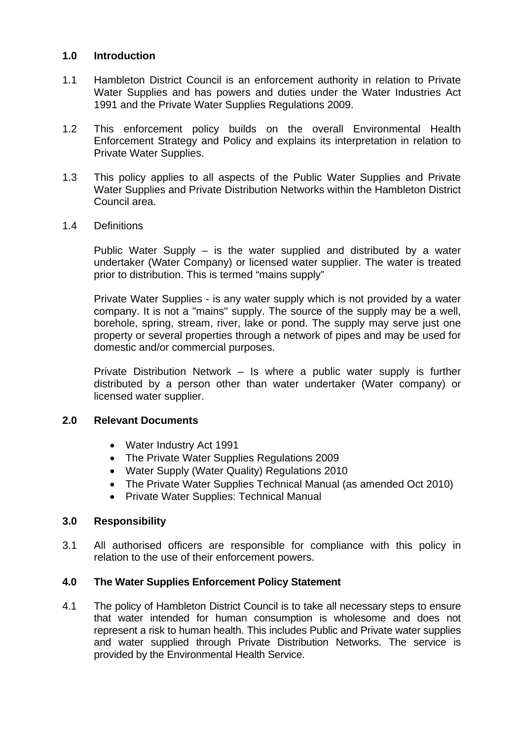#### **1.0 Introduction**

- 1.1 Hambleton District Council is an enforcement authority in relation to Private Water Supplies and has powers and duties under the Water Industries Act 1991 and the Private Water Supplies Regulations 2009.
- 1.2 This enforcement policy builds on the overall Environmental Health Enforcement Strategy and Policy and explains its interpretation in relation to Private Water Supplies.
- 1.3 This policy applies to all aspects of the Public Water Supplies and Private Water Supplies and Private Distribution Networks within the Hambleton District Council area.
- 1.4 Definitions

 Public Water Supply – is the water supplied and distributed by a water undertaker (Water Company) or licensed water supplier. The water is treated prior to distribution. This is termed "mains supply"

Private Water Supplies - is any water supply which is not provided by a water company. It is not a "mains" supply. The source of the supply may be a well, borehole, spring, stream, river, lake or pond. The supply may serve just one property or several properties through a network of pipes and may be used for domestic and/or commercial purposes.

 Private Distribution Network – Is where a public water supply is further distributed by a person other than water undertaker (Water company) or licensed water supplier.

#### **2.0 Relevant Documents**

- Water Industry Act 1991
- The Private Water Supplies Regulations 2009
- Water Supply (Water Quality) Regulations 2010
- The Private Water Supplies Technical Manual (as amended Oct 2010)
- Private Water Supplies: Technical Manual

#### **3.0 Responsibility**

3.1 All authorised officers are responsible for compliance with this policy in relation to the use of their enforcement powers.

#### **4.0 The Water Supplies Enforcement Policy Statement**

4.1 The policy of Hambleton District Council is to take all necessary steps to ensure that water intended for human consumption is wholesome and does not represent a risk to human health. This includes Public and Private water supplies and water supplied through Private Distribution Networks. The service is provided by the Environmental Health Service.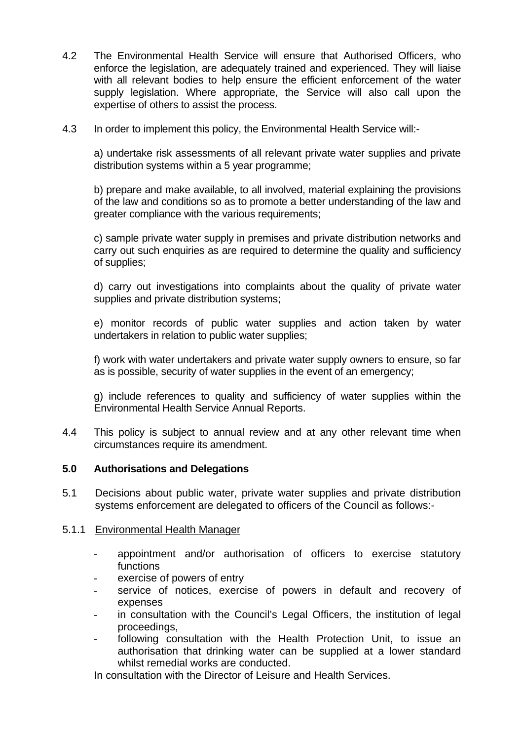- 4.2 The Environmental Health Service will ensure that Authorised Officers, who enforce the legislation, are adequately trained and experienced. They will liaise with all relevant bodies to help ensure the efficient enforcement of the water supply legislation. Where appropriate, the Service will also call upon the expertise of others to assist the process.
- 4.3 In order to implement this policy, the Environmental Health Service will:-

 a) undertake risk assessments of all relevant private water supplies and private distribution systems within a 5 year programme;

 b) prepare and make available, to all involved, material explaining the provisions of the law and conditions so as to promote a better understanding of the law and greater compliance with the various requirements;

 c) sample private water supply in premises and private distribution networks and carry out such enquiries as are required to determine the quality and sufficiency of supplies;

 d) carry out investigations into complaints about the quality of private water supplies and private distribution systems;

 e) monitor records of public water supplies and action taken by water undertakers in relation to public water supplies;

 f) work with water undertakers and private water supply owners to ensure, so far as is possible, security of water supplies in the event of an emergency;

 g) include references to quality and sufficiency of water supplies within the Environmental Health Service Annual Reports.

4.4 This policy is subject to annual review and at any other relevant time when circumstances require its amendment.

#### **5.0 Authorisations and Delegations**

5.1 Decisions about public water, private water supplies and private distribution systems enforcement are delegated to officers of the Council as follows:-

#### 5.1.1 Environmental Health Manager

- appointment and/or authorisation of officers to exercise statutory functions
- exercise of powers of entry
- service of notices, exercise of powers in default and recovery of expenses
- in consultation with the Council's Legal Officers, the institution of legal proceedings,
- following consultation with the Health Protection Unit, to issue an authorisation that drinking water can be supplied at a lower standard whilst remedial works are conducted.

In consultation with the Director of Leisure and Health Services.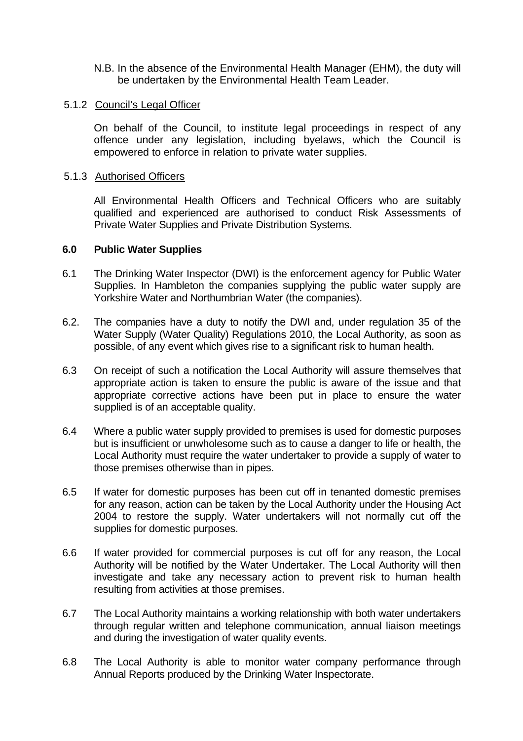N.B. In the absence of the Environmental Health Manager (EHM), the duty will be undertaken by the Environmental Health Team Leader.

#### 5.1.2 Council's Legal Officer

On behalf of the Council, to institute legal proceedings in respect of any offence under any legislation, including byelaws, which the Council is empowered to enforce in relation to private water supplies.

#### 5.1.3 Authorised Officers

 All Environmental Health Officers and Technical Officers who are suitably qualified and experienced are authorised to conduct Risk Assessments of Private Water Supplies and Private Distribution Systems.

#### **6.0 Public Water Supplies**

- 6.1 The Drinking Water Inspector (DWI) is the enforcement agency for Public Water Supplies. In Hambleton the companies supplying the public water supply are Yorkshire Water and Northumbrian Water (the companies).
- 6.2. The companies have a duty to notify the DWI and, under regulation 35 of the Water Supply (Water Quality) Regulations 2010, the Local Authority, as soon as possible, of any event which gives rise to a significant risk to human health.
- 6.3 On receipt of such a notification the Local Authority will assure themselves that appropriate action is taken to ensure the public is aware of the issue and that appropriate corrective actions have been put in place to ensure the water supplied is of an acceptable quality.
- 6.4 Where a public water supply provided to premises is used for domestic purposes but is insufficient or unwholesome such as to cause a danger to life or health, the Local Authority must require the water undertaker to provide a supply of water to those premises otherwise than in pipes.
- 6.5 If water for domestic purposes has been cut off in tenanted domestic premises for any reason, action can be taken by the Local Authority under the Housing Act 2004 to restore the supply. Water undertakers will not normally cut off the supplies for domestic purposes.
- 6.6 If water provided for commercial purposes is cut off for any reason, the Local Authority will be notified by the Water Undertaker. The Local Authority will then investigate and take any necessary action to prevent risk to human health resulting from activities at those premises.
- 6.7 The Local Authority maintains a working relationship with both water undertakers through regular written and telephone communication, annual liaison meetings and during the investigation of water quality events.
- 6.8 The Local Authority is able to monitor water company performance through Annual Reports produced by the Drinking Water Inspectorate.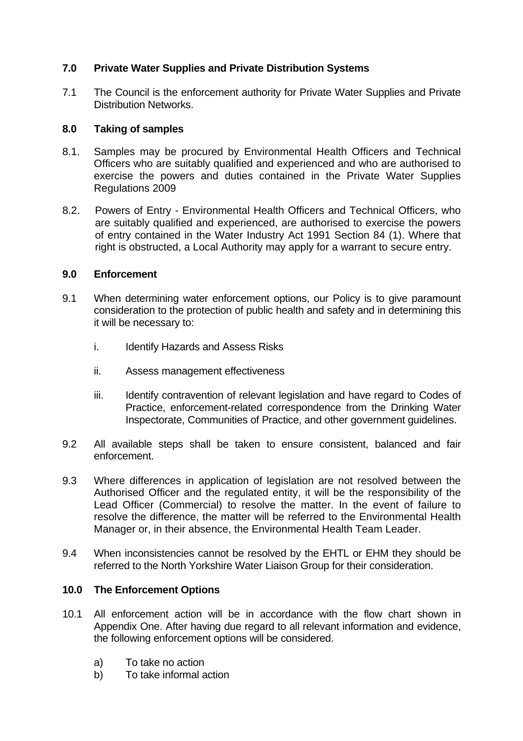## **7.0 Private Water Supplies and Private Distribution Systems**

7.1 The Council is the enforcement authority for Private Water Supplies and Private Distribution Networks.

#### **8.0 Taking of samples**

- 8.1. Samples may be procured by Environmental Health Officers and Technical Officers who are suitably qualified and experienced and who are authorised to exercise the powers and duties contained in the Private Water Supplies Regulations 2009
- 8.2. Powers of Entry Environmental Health Officers and Technical Officers, who are suitably qualified and experienced, are authorised to exercise the powers of entry contained in the Water Industry Act 1991 Section 84 (1). Where that right is obstructed, a Local Authority may apply for a warrant to secure entry.

#### **9.0 Enforcement**

- 9.1 When determining water enforcement options, our Policy is to give paramount consideration to the protection of public health and safety and in determining this it will be necessary to:
	- i. Identify Hazards and Assess Risks
	- ii. Assess management effectiveness
	- iii. Identify contravention of relevant legislation and have regard to Codes of Practice, enforcement-related correspondence from the Drinking Water Inspectorate, Communities of Practice, and other government guidelines.
- 9.2 All available steps shall be taken to ensure consistent, balanced and fair enforcement.
- 9.3 Where differences in application of legislation are not resolved between the Authorised Officer and the regulated entity, it will be the responsibility of the Lead Officer (Commercial) to resolve the matter. In the event of failure to resolve the difference, the matter will be referred to the Environmental Health Manager or, in their absence, the Environmental Health Team Leader.
- 9.4 When inconsistencies cannot be resolved by the EHTL or EHM they should be referred to the North Yorkshire Water Liaison Group for their consideration.

#### **10.0 The Enforcement Options**

- 10.1 All enforcement action will be in accordance with the flow chart shown in Appendix One. After having due regard to all relevant information and evidence, the following enforcement options will be considered.
	- a) To take no action
	- b) To take informal action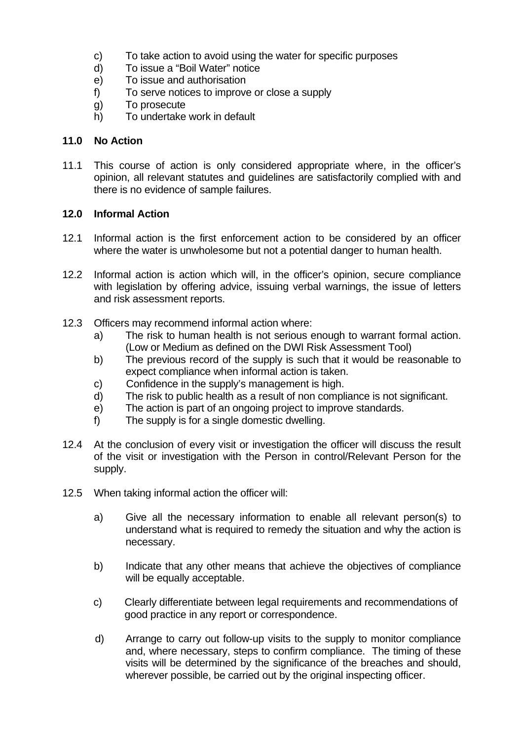- c) To take action to avoid using the water for specific purposes
- d) To issue a "Boil Water" notice
- e) To issue and authorisation
- f) To serve notices to improve or close a supply
- g) To prosecute
- h) To undertake work in default

#### **11.0 No Action**

11.1 This course of action is only considered appropriate where, in the officer's opinion, all relevant statutes and guidelines are satisfactorily complied with and there is no evidence of sample failures.

#### **12.0 Informal Action**

- 12.1 Informal action is the first enforcement action to be considered by an officer where the water is unwholesome but not a potential danger to human health.
- 12.2 Informal action is action which will, in the officer's opinion, secure compliance with legislation by offering advice, issuing verbal warnings, the issue of letters and risk assessment reports.
- 12.3 Officers may recommend informal action where:
	- a) The risk to human health is not serious enough to warrant formal action. (Low or Medium as defined on the DWI Risk Assessment Tool)
	- b) The previous record of the supply is such that it would be reasonable to expect compliance when informal action is taken.
	- c) Confidence in the supply's management is high.
	- d) The risk to public health as a result of non compliance is not significant.
	- e) The action is part of an ongoing project to improve standards.
	- f) The supply is for a single domestic dwelling.
- 12.4 At the conclusion of every visit or investigation the officer will discuss the result of the visit or investigation with the Person in control/Relevant Person for the supply.
- 12.5 When taking informal action the officer will:
	- a) Give all the necessary information to enable all relevant person(s) to understand what is required to remedy the situation and why the action is necessary.
	- b) Indicate that any other means that achieve the objectives of compliance will be equally acceptable.
	- c) Clearly differentiate between legal requirements and recommendations of good practice in any report or correspondence.
	- d) Arrange to carry out follow-up visits to the supply to monitor compliance and, where necessary, steps to confirm compliance. The timing of these visits will be determined by the significance of the breaches and should, wherever possible, be carried out by the original inspecting officer.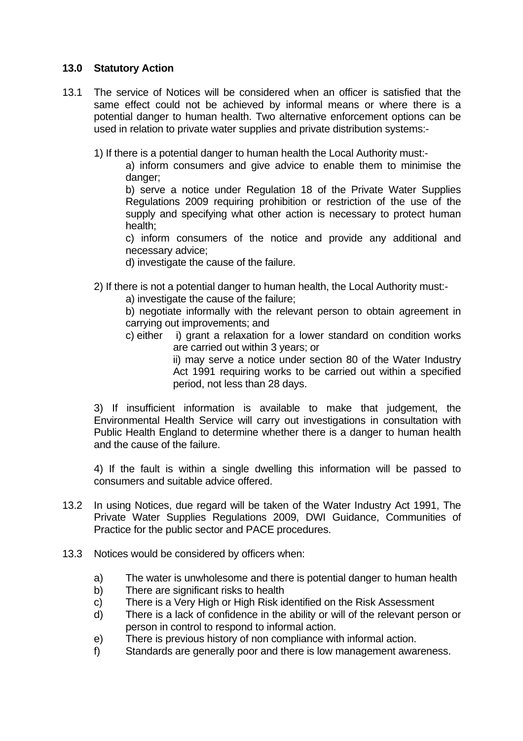#### **13.0 Statutory Action**

- 13.1 The service of Notices will be considered when an officer is satisfied that the same effect could not be achieved by informal means or where there is a potential danger to human health. Two alternative enforcement options can be used in relation to private water supplies and private distribution systems:-
	- 1) If there is a potential danger to human health the Local Authority must:-

 a) inform consumers and give advice to enable them to minimise the danger:

 b) serve a notice under Regulation 18 of the Private Water Supplies Regulations 2009 requiring prohibition or restriction of the use of the supply and specifying what other action is necessary to protect human health;

 c) inform consumers of the notice and provide any additional and necessary advice;

d) investigate the cause of the failure.

- 2) If there is not a potential danger to human health, the Local Authority must:
	- a) investigate the cause of the failure;

b) negotiate informally with the relevant person to obtain agreement in carrying out improvements; and

c) either i) grant a relaxation for a lower standard on condition works are carried out within 3 years; or

 ii) may serve a notice under section 80 of the Water Industry Act 1991 requiring works to be carried out within a specified period, not less than 28 days.

 3) If insufficient information is available to make that judgement, the Environmental Health Service will carry out investigations in consultation with Public Health England to determine whether there is a danger to human health and the cause of the failure.

4) If the fault is within a single dwelling this information will be passed to consumers and suitable advice offered.

- 13.2 In using Notices, due regard will be taken of the Water Industry Act 1991, The Private Water Supplies Regulations 2009, DWI Guidance, Communities of Practice for the public sector and PACE procedures.
- 13.3 Notices would be considered by officers when:
	- a) The water is unwholesome and there is potential danger to human health
	- b) There are significant risks to health
	- c) There is a Very High or High Risk identified on the Risk Assessment
	- d) There is a lack of confidence in the ability or will of the relevant person or person in control to respond to informal action.
	- e) There is previous history of non compliance with informal action.
	- f) Standards are generally poor and there is low management awareness.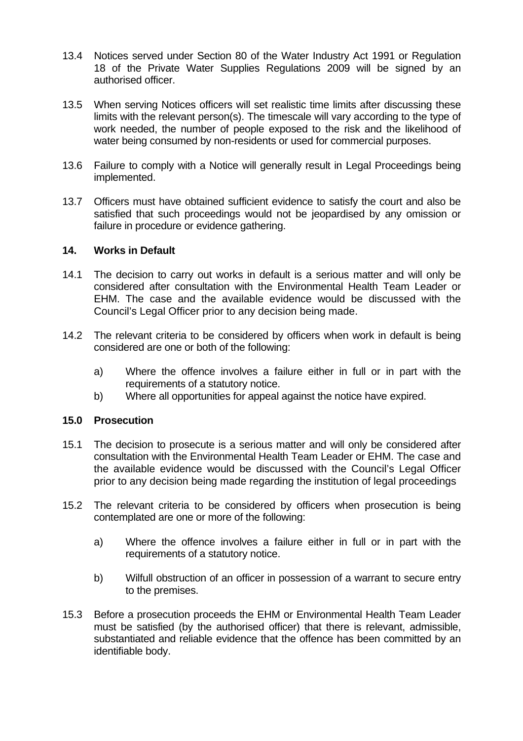- 13.4 Notices served under Section 80 of the Water Industry Act 1991 or Regulation 18 of the Private Water Supplies Regulations 2009 will be signed by an authorised officer.
- 13.5 When serving Notices officers will set realistic time limits after discussing these limits with the relevant person(s). The timescale will vary according to the type of work needed, the number of people exposed to the risk and the likelihood of water being consumed by non-residents or used for commercial purposes.
- 13.6 Failure to comply with a Notice will generally result in Legal Proceedings being implemented.
- 13.7 Officers must have obtained sufficient evidence to satisfy the court and also be satisfied that such proceedings would not be jeopardised by any omission or failure in procedure or evidence gathering.

#### **14. Works in Default**

- 14.1 The decision to carry out works in default is a serious matter and will only be considered after consultation with the Environmental Health Team Leader or EHM. The case and the available evidence would be discussed with the Council's Legal Officer prior to any decision being made.
- 14.2 The relevant criteria to be considered by officers when work in default is being considered are one or both of the following:
	- a) Where the offence involves a failure either in full or in part with the requirements of a statutory notice.
	- b) Where all opportunities for appeal against the notice have expired.

#### **15.0 Prosecution**

- 15.1 The decision to prosecute is a serious matter and will only be considered after consultation with the Environmental Health Team Leader or EHM. The case and the available evidence would be discussed with the Council's Legal Officer prior to any decision being made regarding the institution of legal proceedings
- 15.2 The relevant criteria to be considered by officers when prosecution is being contemplated are one or more of the following:
	- a) Where the offence involves a failure either in full or in part with the requirements of a statutory notice.
	- b) Wilfull obstruction of an officer in possession of a warrant to secure entry to the premises.
- 15.3 Before a prosecution proceeds the EHM or Environmental Health Team Leader must be satisfied (by the authorised officer) that there is relevant, admissible, substantiated and reliable evidence that the offence has been committed by an identifiable body.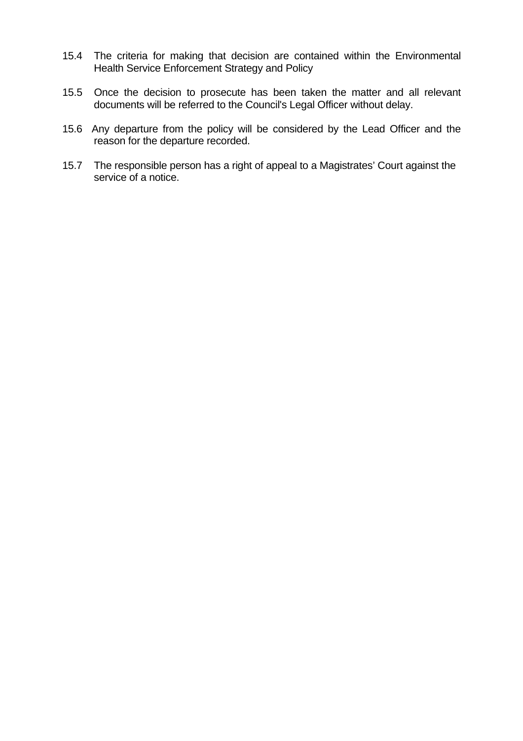- 15.4 The criteria for making that decision are contained within the Environmental Health Service Enforcement Strategy and Policy
- 15.5 Once the decision to prosecute has been taken the matter and all relevant documents will be referred to the Council's Legal Officer without delay.
- 15.6 Any departure from the policy will be considered by the Lead Officer and the reason for the departure recorded.
- 15.7 The responsible person has a right of appeal to a Magistrates' Court against the service of a notice.